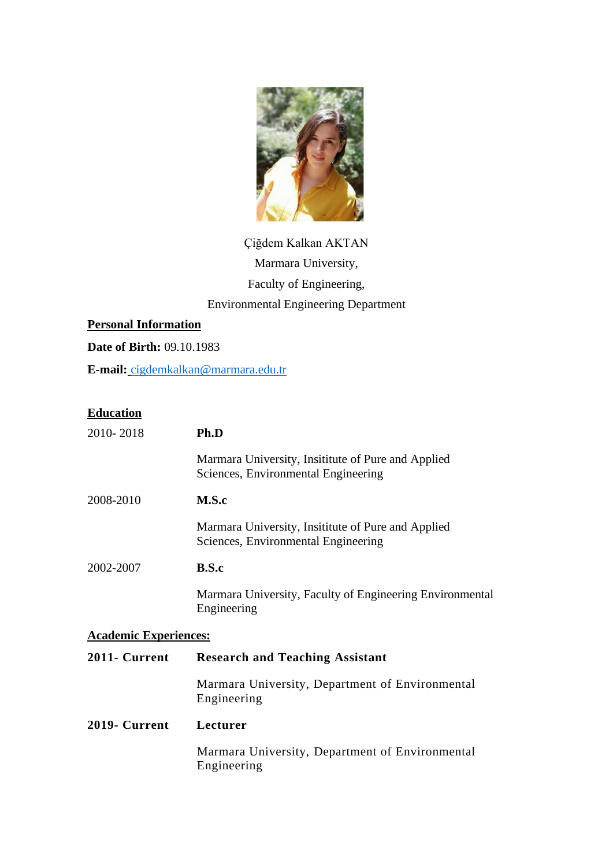

# Çiğdem Kalkan AKTAN Marmara University, Faculty of Engineering, Environmental Engineering Department

# **Personal Information**

**Date of Birth:** 09.10.1983

**E-mail:** cigdemkalkan@marmara.edu.tr

## **Education**

| 2010-2018                    | Ph.D                                                                                      |
|------------------------------|-------------------------------------------------------------------------------------------|
|                              | Marmara University, Insititute of Pure and Applied<br>Sciences, Environmental Engineering |
| 2008-2010                    | M.S.c                                                                                     |
|                              | Marmara University, Insititute of Pure and Applied<br>Sciences, Environmental Engineering |
| 2002-2007                    | B.S.c                                                                                     |
|                              | Marmara University, Faculty of Engineering Environmental<br>Engineering                   |
| <b>Academic Experiences:</b> |                                                                                           |
| 2011- Current                | <b>Research and Teaching Assistant</b>                                                    |
|                              | Marmara University, Department of Environmental<br>Engineering                            |
| 2019- Current                | Lecturer                                                                                  |
|                              | Marmara University, Department of Environmental<br>Engineering                            |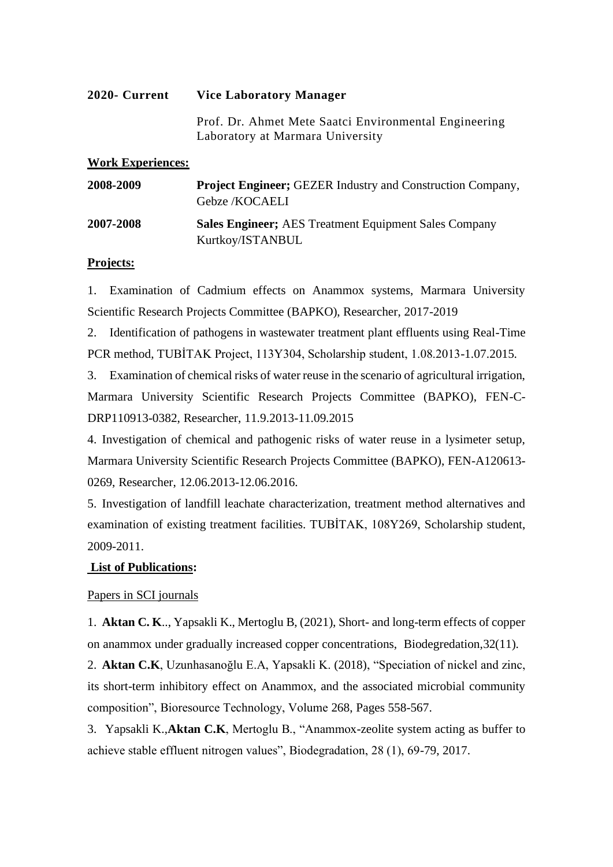#### **2020- Current Vice Laboratory Manager**

Prof. Dr. Ahmet Mete Saatci Environmental Engineering Laboratory at Marmara University

#### **Work Experiences:**

| 2008-2009 | <b>Project Engineer; GEZER Industry and Construction Company,</b><br>Gebze /KOCAELI |
|-----------|-------------------------------------------------------------------------------------|
| 2007-2008 | <b>Sales Engineer</b> ; AES Treatment Equipment Sales Company<br>Kurtkoy/ISTANBUL   |

#### **Projects:**

1. Examination of Cadmium effects on Anammox systems, Marmara University Scientific Research Projects Committee (BAPKO), Researcher, 2017-2019

2. Identification of pathogens in wastewater treatment plant effluents using Real-Time PCR method, TUBİTAK Project, 113Y304, Scholarship student, 1.08.2013-1.07.2015.

3. Examination of chemical risks of water reuse in the scenario of agricultural irrigation, Marmara University Scientific Research Projects Committee (BAPKO), FEN-C-DRP110913-0382, Researcher, 11.9.2013-11.09.2015

4. Investigation of chemical and pathogenic risks of water reuse in a lysimeter setup, Marmara University Scientific Research Projects Committee (BAPKO), FEN-A120613- 0269, Researcher, 12.06.2013-12.06.2016.

5. Investigation of landfill leachate characterization, treatment method alternatives and examination of existing treatment facilities. TUBİTAK, 108Y269, Scholarship student, 2009-2011.

## **List of Publications:**

## Papers in SCI journals

1. **Aktan C. K**.., Yapsakli K., Mertoglu B, (2021), Short- and long-term effects of copper on anammox under gradually increased copper concentrations, [Biodegredation,3](http://doi.org/10.1007/s10532-021-09934-1)2(11).

2. **Aktan C.K**, Uzunhasanoğlu E.A, Yapsakli K. (2018), "Speciation of nickel and zinc, its short-term inhibitory effect on Anammox, and the associated microbial community composition", Bioresource Technology, Volume 268, Pages 558-567.

3. Yapsakli K.,**Aktan C.K**, Mertoglu B., "Anammox-zeolite system acting as buffer to achieve stable effluent nitrogen values", Biodegradation, 28 (1), 69-79, 2017.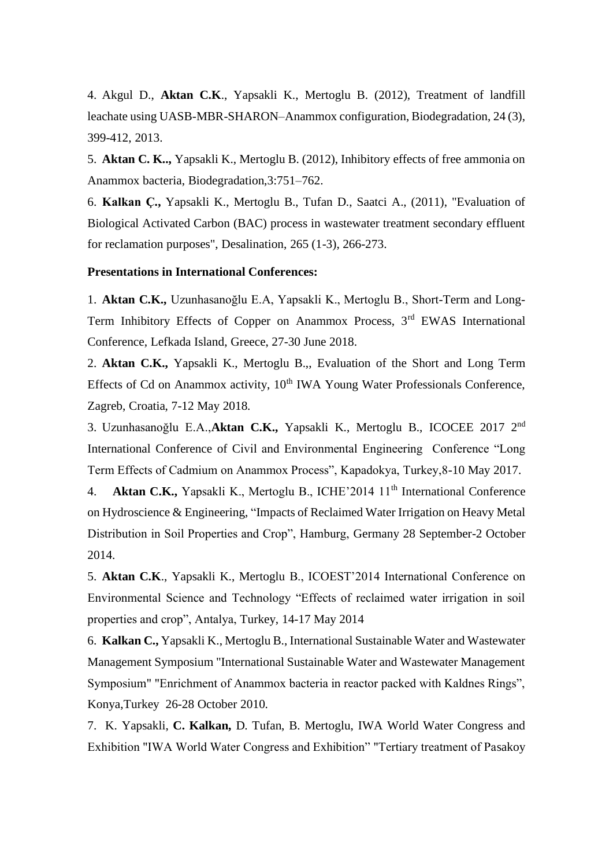4. Akgul D., **Aktan C.K**., Yapsakli K., Mertoglu B. (2012), Treatment of landfill leachate using UASB-MBR-SHARON–Anammox configuration, Biodegradation, 24 (3), 399-412, 2013.

5. **Aktan C. K..,** Yapsakli K., Mertoglu B. (2012), Inhibitory effects of free ammonia on Anammox bacteria, Biodegradation,3:751–762.

6. **Kalkan Ç.,** Yapsakli K., Mertoglu B., Tufan D., Saatci A., (2011), "Evaluation of Biological Activated Carbon (BAC) process in wastewater treatment secondary effluent for reclamation purposes", Desalination, 265 (1-3), 266-273.

#### **Presentations in International Conferences:**

1. **Aktan C.K.,** Uzunhasanoğlu E.A, Yapsakli K., Mertoglu B., Short-Term and Long-Term Inhibitory Effects of Copper on Anammox Process, 3<sup>rd</sup> EWAS International Conference, Lefkada Island, Greece, 27-30 June 2018.

2. **Aktan C.K.,** Yapsakli K., Mertoglu B.,, Evaluation of the Short and Long Term Effects of Cd on Anammox activity,  $10<sup>th</sup> IWA$  Young Water Professionals Conference, Zagreb, Croatia, 7-12 May 2018.

3. Uzunhasanoğlu E.A.,**Aktan C.K.,** Yapsakli K., Mertoglu B., ICOCEE 2017 2nd International Conference of Civil and Environmental Engineering Conference "Long Term Effects of Cadmium on Anammox Process", Kapadokya, Turkey,8-10 May 2017.

4. **Aktan C.K.,** Yapsakli K., Mertoglu B., ICHE'2014 11<sup>th</sup> International Conference on Hydroscience & Engineering, "Impacts of Reclaimed Water Irrigation on Heavy Metal Distribution in Soil Properties and Crop", Hamburg, Germany 28 September-2 October 2014.

5. **Aktan C.K**., Yapsakli K., Mertoglu B., ICOEST'2014 International Conference on Environmental Science and Technology "Effects of reclaimed water irrigation in soil properties and crop", Antalya, Turkey, 14-17 May 2014

6. **Kalkan C.,** Yapsakli K., Mertoglu B., International Sustainable Water and Wastewater Management Symposium "International Sustainable Water and Wastewater Management Symposium" "Enrichment of Anammox bacteria in reactor packed with Kaldnes Rings", Konya,Turkey 26-28 October 2010.

7. K. Yapsakli, **C. Kalkan,** D. Tufan, B. Mertoglu, IWA World Water Congress and Exhibition "IWA World Water Congress and Exhibition" "Tertiary treatment of Pasakoy